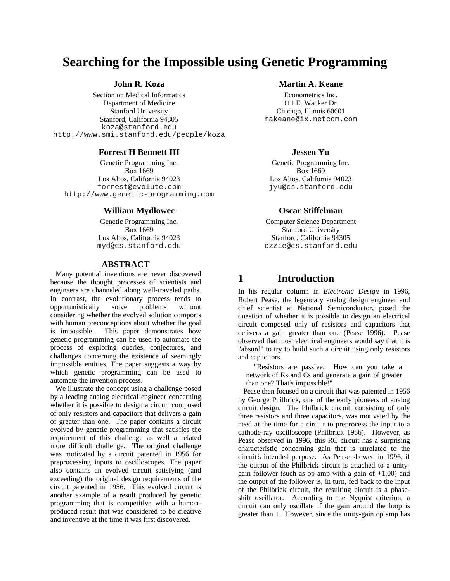# **Searching for the Impossible using Genetic Programming**

### **John R. Koza**

Section on Medical Informatics Department of Medicine Stanford University Stanford, California 94305 koza@stanford.edu http://www.smi.stanford.edu/people/koza

#### **Forrest H Bennett III**

Genetic Programming Inc. Box 1669 Los Altos, California 94023 forrest@evolute.com http://www.genetic-programming.com

#### **William Mydlowec**

Genetic Programming Inc. Box 1669 Los Altos, California 94023 myd@cs.stanford.edu

#### **ABSTRACT**

Many potential inventions are never discovered because the thought processes of scientists and engineers are channeled along well-traveled paths. In contrast, the evolutionary process tends to opportunistically solve problems without opportunistically solve problems without considering whether the evolved solution comports with human preconceptions about whether the goal is impossible. This paper demonstrates how genetic programming can be used to automate the process of exploring queries, conjectures, and challenges concerning the existence of seemingly impossible entities. The paper suggests a way by which genetic programming can be used to automate the invention process.

We illustrate the concept using a challenge posed by a leading analog electrical engineer concerning whether it is possible to design a circuit composed of only resistors and capacitors that delivers a gain of greater than one. The paper contains a circuit evolved by genetic programming that satisfies the requirement of this challenge as well a related more difficult challenge. The original challenge was motivated by a circuit patented in 1956 for preprocessing inputs to oscilloscopes. The paper also contains an evolved circuit satisfying (and exceeding) the original design requirements of the circuit patented in 1956. This evolved circuit is another example of a result produced by genetic programming that is competitive with a humanproduced result that was considered to be creative and inventive at the time it was first discovered.

#### **Martin A. Keane**

Econometrics Inc. 111 E. Wacker Dr. Chicago, Illinois 60601 makeane@ix.netcom.com

#### **Jessen Yu**

Genetic Programming Inc. Box 1669 Los Altos, California 94023 jyu@cs.stanford.edu

#### **Oscar Stiffelman**

Computer Science Department Stanford University Stanford, California 94305 ozzie@cs.stanford.edu

## **1 Introduction**

In his regular column in *Electronic Design* in 1996, Robert Pease, the legendary analog design engineer and chief scientist at National Semiconductor, posed the question of whether it is possible to design an electrical circuit composed only of resistors and capacitors that delivers a gain greater than one (Pease 1996). Pease observed that most electrical engineers would say that it is "absurd" to try to build such a circuit using only resistors and capacitors.

"Resistors are passive. How can you take a network of Rs and Cs and generate a gain of greater than one? That's impossible!"

Pease then focused on a circuit that was patented in 1956 by George Philbrick, one of the early pioneers of analog circuit design. The Philbrick circuit, consisting of only three resistors and three capacitors, was motivated by the need at the time for a circuit to preprocess the input to a cathode-ray oscilloscope (Philbrick 1956). However, as Pease observed in 1996, this RC circuit has a surprising characteristic concerning gain that is unrelated to the circuit's intended purpose. As Pease showed in 1996, if the output of the Philbrick circuit is attached to a unitygain follower (such as op amp with a gain of  $+1.00$ ) and the output of the follower is, in turn, fed back to the input of the Philbrick circuit, the resulting circuit is a phaseshift oscillator. According to the Nyquist criterion, a circuit can only oscillate if the gain around the loop is greater than 1. However, since the unity-gain op amp has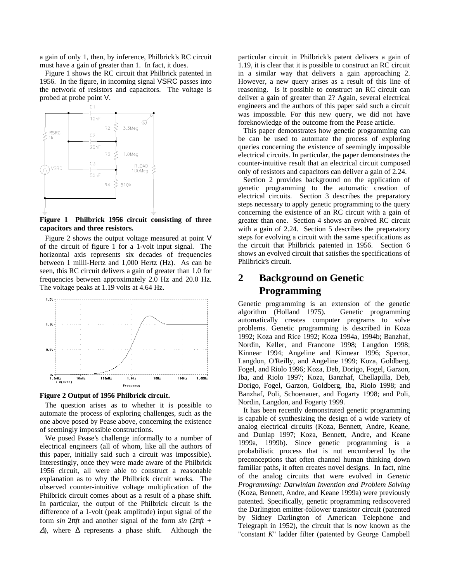a gain of only 1, then, by inference, Philbrick's RC circuit must have a gain of greater than 1. In fact, it does.

Figure 1 shows the RC circuit that Philbrick patented in 1956. In the figure, in incoming signal VSRC passes into the network of resistors and capacitors. The voltage is probed at probe point V.



**Figure 1 Philbrick 1956 circuit consisting of three capacitors and three resistors.**

Figure 2 shows the output voltage measured at point V of the circuit of figure 1 for a 1-volt input signal. The horizontal axis represents six decades of frequencies between 1 milli-Hertz and 1,000 Hertz (Hz). As can be seen, this RC circuit delivers a gain of greater than 1.0 for frequencies between approximately 2.0 Hz and 20.0 Hz. The voltage peaks at 1.19 volts at 4.64 Hz.



**Figure 2 Output of 1956 Philbrick circuit.**

The question arises as to whether it is possible to automate the process of exploring challenges, such as the one above posed by Pease above, concerning the existence of seemingly impossible constructions.

We posed Pease's challenge informally to a number of electrical engineers (all of whom, like all the authors of this paper, initially said such a circuit was impossible). Interestingly, once they were made aware of the Philbrick 1956 circuit, all were able to construct a reasonable explanation as to why the Philbrick circuit works. The observed counter-intuitive voltage multiplication of the Philbrick circuit comes about as a result of a phase shift. In particular, the output of the Philbrick circuit is the difference of a 1-volt (peak amplitude) input signal of the form *sin* 2π*ft* and another signal of the form *sin* (2π*ft +* <sup>∆</sup>), where ∆ represents a phase shift. Although the

particular circuit in Philbrick's patent delivers a gain of 1.19, it is clear that it is possible to construct an RC circuit in a similar way that delivers a gain approaching 2. However, a new query arises as a result of this line of reasoning. Is it possible to construct an RC circuit can deliver a gain of greater than 2? Again, several electrical engineers and the authors of this paper said such a circuit was impossible. For this new query, we did not have foreknowledge of the outcome from the Pease article.

This paper demonstrates how genetic programming can be can be used to automate the process of exploring queries concerning the existence of seemingly impossible electrical circuits. In particular, the paper demonstrates the counter-intuitive result that an electrical circuit composed only of resistors and capacitors can deliver a gain of 2.24.

Section 2 provides background on the application of genetic programming to the automatic creation of electrical circuits. Section 3 describes the preparatory steps necessary to apply genetic programming to the query concerning the existence of an RC circuit with a gain of greater than one. Section 4 shows an evolved RC circuit with a gain of 2.24. Section 5 describes the preparatory steps for evolving a circuit with the same specifications as the circuit that Philbrick patented in 1956. Section 6 shows an evolved circuit that satisfies the specifications of Philbrick's circuit.

## **2 Background on Genetic Programming**

Genetic programming is an extension of the genetic algorithm (Holland 1975). Genetic programming automatically creates computer programs to solve problems. Genetic programming is described in Koza 1992; Koza and Rice 1992; Koza 1994a, 1994b; Banzhaf, Nordin, Keller, and Francone 1998; Langdon 1998; Kinnear 1994; Angeline and Kinnear 1996; Spector, Langdon, O'Reilly, and Angeline 1999; Koza, Goldberg, Fogel, and Riolo 1996; Koza, Deb, Dorigo, Fogel, Garzon, Iba, and Riolo 1997; Koza, Banzhaf, Chellapilla, Deb, Dorigo, Fogel, Garzon, Goldberg, Iba, Riolo 1998; and Banzhaf, Poli, Schoenauer, and Fogarty 1998; and Poli, Nordin, Langdon, and Fogarty 1999.

It has been recently demonstrated genetic programming is capable of synthesizing the design of a wide variety of analog electrical circuits (Koza, Bennett, Andre, Keane, and Dunlap 1997; Koza, Bennett, Andre, and Keane 1999a, 1999b). Since genetic programming is a probabilistic process that is not encumbered by the preconceptions that often channel human thinking down familiar paths, it often creates novel designs. In fact, nine of the analog circuits that were evolved in *Genetic Programming: Darwinian Invention and Problem Solving* (Koza, Bennett, Andre, and Keane 1999a) were previously patented. Specifically, genetic programming rediscovered the Darlington emitter-follower transistor circuit (patented by Sidney Darlington of American Telephone and Telegraph in 1952), the circuit that is now known as the "constant *K*" ladder filter (patented by George Campbell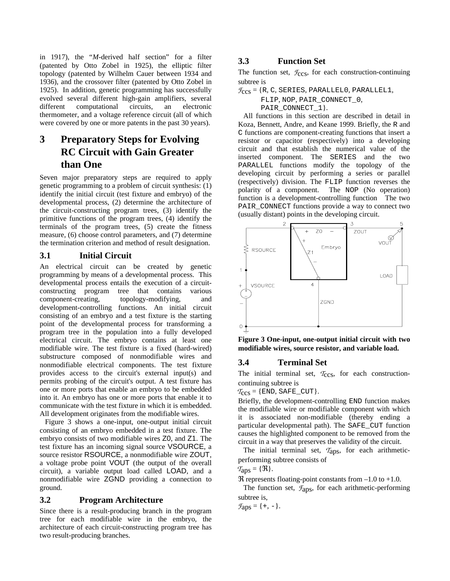in 1917), the "*M*-derived half section" for a filter (patented by Otto Zobel in 1925), the elliptic filter topology (patented by Wilhelm Cauer between 1934 and 1936), and the crossover filter (patented by Otto Zobel in 1925). In addition, genetic programming has successfully evolved several different high-gain amplifiers, several different computational circuits, an electronic thermometer, and a voltage reference circuit (all of which were covered by one or more patents in the past 30 years).

# **3 Preparatory Steps for Evolving RC Circuit with Gain Greater than One**

Seven major preparatory steps are required to apply genetic programming to a problem of circuit synthesis: (1) identify the initial circuit (test fixture and embryo) of the developmental process, (2) determine the architecture of the circuit-constructing program trees, (3) identify the primitive functions of the program trees, (4) identify the terminals of the program trees, (5) create the fitness measure, (6) choose control parameters, and (7) determine the termination criterion and method of result designation.

### **3.1 Initial Circuit**

An electrical circuit can be created by genetic programming by means of a developmental process. This developmental process entails the execution of a circuitconstructing program tree that contains various component-creating, topology-modifying, and development-controlling functions. An initial circuit consisting of an embryo and a test fixture is the starting point of the developmental process for transforming a program tree in the population into a fully developed electrical circuit. The embryo contains at least one modifiable wire. The test fixture is a fixed (hard-wired) substructure composed of nonmodifiable wires and nonmodifiable electrical components. The test fixture provides access to the circuit's external input(s) and permits probing of the circuit's output. A test fixture has one or more ports that enable an embryo to be embedded into it. An embryo has one or more ports that enable it to communicate with the test fixture in which it is embedded. All development originates from the modifiable wires.

Figure 3 shows a one-input, one-output initial circuit consisting of an embryo embedded in a test fixture. The embryo consists of two modifiable wires Z0, and Z1. The test fixture has an incoming signal source VSOURCE, a source resistor RSOURCE, a nonmodifiable wire ZOUT, a voltage probe point VOUT (the output of the overall circuit), a variable output load called LOAD, and a nonmodifiable wire ZGND providing a connection to ground.

### **3.2 Program Architecture**

Since there is a result-producing branch in the program tree for each modifiable wire in the embryo, the architecture of each circuit-constructing program tree has two result-producing branches.

### **3.3 Function Set**

The function set,  $f_{\text{CCS}}$ , for each construction-continuing subtree is

 $\mathcal{F}_{\text{CCS}} = \{R, C, \text{SERIES}, \text{PARALLELO}, \text{PARALLEL1}, \text{Meas} \}$ 

FLIP, NOP, PAIR\_CONNECT\_0,

PAIR\_CONNECT\_1}.

All functions in this section are described in detail in Koza, Bennett, Andre, and Keane 1999. Briefly, the R and C functions are component-creating functions that insert a resistor or capacitor (respectively) into a developing circuit and that establish the numerical value of the inserted component. The SERIES and the two PARALLEL functions modify the topology of the developing circuit by performing a series or parallel (respectively) division. The FLIP function reverses the polarity of a component. The NOP (No operation) function is a development-controlling function The two PAIR\_CONNECT functions provide a way to connect two (usually distant) points in the developing circuit.



**Figure 3 One-input, one-output initial circuit with two modifiable wires, source resistor, and variable load.**

## **3.4 Terminal Set**

The initial terminal set,  $T_{\text{CCS}}$ , for each constructioncontinuing subtree is

 $T_{\text{CCS}} = \{\text{END}, \text{SAFE\_CUT}\}.$ 

Briefly, the development-controlling END function makes the modifiable wire or modifiable component with which it is associated non-modifiable (thereby ending a particular developmental path). The SAFE\_CUT function causes the highlighted component to be removed from the circuit in a way that preserves the validity of the circuit.

The initial terminal set, *T*aps, for each arithmeticperforming subtree consists of

 $\mathcal{T}_{\text{ADS}} = \{\Re\}.$ 

 $\Re$  represents floating-point constants from  $-1.0$  to  $+1.0$ .

The function set,  $f_{\text{ADS}}$ , for each arithmetic-performing subtree is,

 $\mathcal{F}_{\text{APS}} = \{+, -\}.$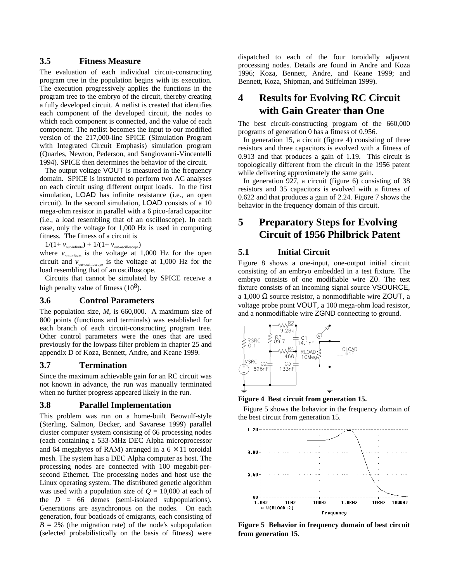### **3.5 Fitness Measure**

The evaluation of each individual circuit-constructing program tree in the population begins with its execution. The execution progressively applies the functions in the program tree to the embryo of the circuit, thereby creating a fully developed circuit. A netlist is created that identifies each component of the developed circuit, the nodes to which each component is connected, and the value of each component. The netlist becomes the input to our modified version of the 217,000-line SPICE (Simulation Program with Integrated Circuit Emphasis) simulation program (Quarles, Newton, Pederson, and Sangiovanni-Vincentelli 1994). SPICE then determines the behavior of the circuit.

The output voltage VOUT is measured in the frequency domain. SPICE is instructed to perform two AC analyses on each circuit using different output loads. In the first simulation, LOAD has infinite resistance (i.e., an open circuit). In the second simulation, LOAD consists of a 10 mega-ohm resistor in parallel with a 6 pico-farad capacitor (i.e., a load resembling that of an oscilloscope). In each case, only the voltage for 1,000 Hz is used in computing fitness. The fitness of a circuit is

 $1/(1+\nu_{\text{out-infinite}}) + 1/(1+\nu_{\text{out-oscilloscope}})$ 

where  $v_{\text{out-infinite}}$  is the voltage at 1,000 Hz for the open circuit and  $v_{\text{out-oscilloscone}}$  is the voltage at 1,000 Hz for the load resembling that of an oscilloscope.

Circuits that cannot be simulated by SPICE receive a high penalty value of fitness  $(10^8)$ .

#### **3.6 Control Parameters**

The population size, *M*, is 660,000. A maximum size of 800 points (functions and terminals) was established for each branch of each circuit-constructing program tree. Other control parameters were the ones that are used previously for the lowpass filter problem in chapter 25 and appendix D of Koza, Bennett, Andre, and Keane 1999.

#### **3.7 Termination**

Since the maximum achievable gain for an RC circuit was not known in advance, the run was manually terminated when no further progress appeared likely in the run.

#### **3.8 Parallel Implementation**

This problem was run on a home-built Beowulf-style (Sterling, Salmon, Becker, and Savarese 1999) parallel cluster computer system consisting of 66 processing nodes (each containing a 533-MHz DEC Alpha microprocessor and 64 megabytes of RAM) arranged in a  $6 \times 11$  toroidal mesh. The system has a DEC Alpha computer as host. The processing nodes are connected with 100 megabit-persecond Ethernet. The processing nodes and host use the Linux operating system. The distributed genetic algorithm was used with a population size of  $Q = 10,000$  at each of the  $D = 66$  demes (semi-isolated subpopulations). Generations are asynchronous on the nodes. On each generation, four boatloads of emigrants, each consisting of  $B = 2\%$  (the migration rate) of the node's subpopulation (selected probabilistically on the basis of fitness) were dispatched to each of the four toroidally adjacent processing nodes. Details are found in Andre and Koza 1996; Koza, Bennett, Andre, and Keane 1999; and Bennett, Koza, Shipman, and Stiffelman 1999).

## **4 Results for Evolving RC Circuit with Gain Greater than One**

The best circuit-constructing program of the 660,000 programs of generation 0 has a fitness of 0.956.

In generation 15, a circuit (figure 4) consisting of three resistors and three capacitors is evolved with a fitness of 0.913 and that produces a gain of 1.19. This circuit is topologically different from the circuit in the 1956 patent while delivering approximately the same gain.

In generation 927, a circuit (figure 6) consisting of 38 resistors and 35 capacitors is evolved with a fitness of 0.622 and that produces a gain of 2.24. Figure 7 shows the behavior in the frequency domain of this circuit.

## **5 Preparatory Steps for Evolving Circuit of 1956 Philbrick Patent**

#### **5.1 Initial Circuit**

Figure 8 shows a one-input, one-output initial circuit consisting of an embryo embedded in a test fixture. The embryo consists of one modifiable wire Z0. The test fixture consists of an incoming signal source VSOURCE, a 1,000  $\Omega$  source resistor, a nonmodifiable wire ZOUT, a voltage probe point VOUT, a 100 mega-ohm load resistor, and a nonmodifiable wire ZGND connecting to ground.



**Figure 4 Best circuit from generation 15.**

Figure 5 shows the behavior in the frequency domain of the best circuit from generation 15.



**Figure 5 Behavior in frequency domain of best circuit from generation 15.**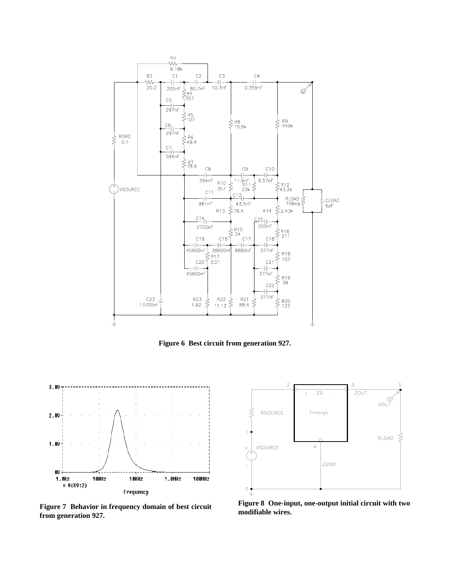

**Figure 6 Best circuit from generation 927.**

![](_page_4_Figure_2.jpeg)

**Figure 7 Behavior in frequency domain of best circuit from generation 927.**

![](_page_4_Figure_4.jpeg)

**Figure 8 One-input, one-output initial circuit with two modifiable wires.**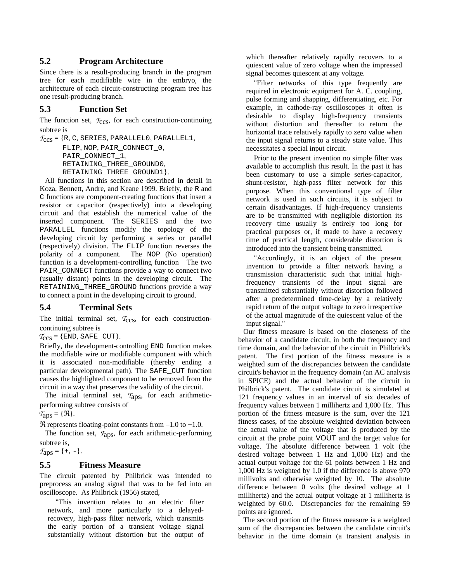#### **5.2 Program Architecture**

Since there is a result-producing branch in the program tree for each modifiable wire in the embryo, the architecture of each circuit-constructing program tree has one result-producing branch.

### **5.3 Function Set**

The function set,  $f_{\text{CCS}}$ , for each construction-continuing subtree is

```
\mathcal{F}_{\text{CCS}} = \{R, C, \text{SERIES}, \text{PARALLELO}, \text{PARALLEL1}, \text{ }FLIP, NOP, PAIR_CONNECT_0,
PAIR_CONNECT_1,
RETAINING_THREE_GROUND0,
RETAINING THREE GROUND1}.
```
All functions in this section are described in detail in Koza, Bennett, Andre, and Keane 1999. Briefly, the R and C functions are component-creating functions that insert a resistor or capacitor (respectively) into a developing circuit and that establish the numerical value of the inserted component. The SERIES and the two PARALLEL functions modify the topology of the developing circuit by performing a series or parallel (respectively) division. The FLIP function reverses the polarity of a component. The NOP (No operation) function is a development-controlling function The two PAIR\_CONNECT functions provide a way to connect two (usually distant) points in the developing circuit. The RETAINING\_THREE\_GROUND functions provide a way to connect a point in the developing circuit to ground.

### **5.4 Terminal Sets**

The initial terminal set,  $T_{\text{CCS}}$ , for each constructioncontinuing subtree is

 $T_{\text{CCS}} = \{\text{END}, \text{SAFE\_CUT}\}.$ 

Briefly, the development-controlling END function makes the modifiable wire or modifiable component with which it is associated non-modifiable (thereby ending a particular developmental path). The SAFE\_CUT function causes the highlighted component to be removed from the circuit in a way that preserves the validity of the circuit.

The initial terminal set, *T*aps, for each arithmeticperforming subtree consists of

 $\mathcal{T}_{\text{APS}} = \{\Re\}.$ 

 $\Re$  represents floating-point constants from  $-1.0$  to  $+1.0$ .

The function set,  $f_{\text{ans}}$ , for each arithmetic-performing subtree is,

 $\mathcal{F}_{\text{APS}} = \{+, -\}.$ 

#### **5.5 Fitness Measure**

The circuit patented by Philbrick was intended to preprocess an analog signal that was to be fed into an oscilloscope. As Philbrick (1956) stated,

"This invention relates to an electric filter network, and more particularly to a delayedrecovery, high-pass filter network, which transmits the early portion of a transient voltage signal substantially without distortion but the output of which thereafter relatively rapidly recovers to a quiescent value of zero voltage when the impressed signal becomes quiescent at any voltage.

"Filter networks of this type frequently are required in electronic equipment for A. C. coupling, pulse forming and shapping, differentiating, etc. For example, in cathode-ray oscilloscopes it often is desirable to display high-frequency transients without distortion and thereafter to return the horizontal trace relatively rapidly to zero value when the input signal returns to a steady state value. This necessitates a special input circuit.

Prior to the present invention no simple filter was available to accomplish this result. In the past it has been customary to use a simple series-capacitor, shunt-resistor, high-pass filter network for this purpose. When this conventional type of filter network is used in such circuits, it is subject to certain disadvantages. If high-frequency transients are to be transmitted with negligible distortion its recovery time usually is entirely too long for practical purposes or, if made to have a recovery time of practical length, considerable distortion is introduced into the transient being transmitted.

"Accordingly, it is an object of the present invention to provide a filter network having a transmission characteristic such that initial highfrequency transients of the input signal are transmitted substantially without distortion followed after a predetermined time-delay by a relatively rapid return of the output voltage to zero irrespective of the actual magnitude of the quiescent value of the input signal."

Our fitness measure is based on the closeness of the behavior of a candidate circuit, in both the frequency and time domain, and the behavior of the circuit in Philbrick's patent. The first portion of the fitness measure is a weighted sum of the discrepancies between the candidate circuit's behavior in the frequency domain (an AC analysis in SPICE) and the actual behavior of the circuit in Philbrick's patent. The candidate circuit is simulated at 121 frequency values in an interval of six decades of frequency values between 1 millihertz and 1,000 Hz. This portion of the fitness measure is the sum, over the 121 fitness cases, of the absolute weighted deviation between the actual value of the voltage that is produced by the circuit at the probe point VOUT and the target value for voltage. The absolute difference between 1 volt (the desired voltage between 1 Hz and 1,000 Hz) and the actual output voltage for the 61 points between 1 Hz and 1,000 Hz is weighted by 1.0 if the difference is above 970 millivolts and otherwise weighted by 10. The absolute difference between 0 volts (the desired voltage at 1 millihertz) and the actual output voltage at 1 millihertz is weighted by 60.0. Discrepancies for the remaining 59 points are ignored.

The second portion of the fitness measure is a weighted sum of the discrepancies between the candidate circuit's behavior in the time domain (a transient analysis in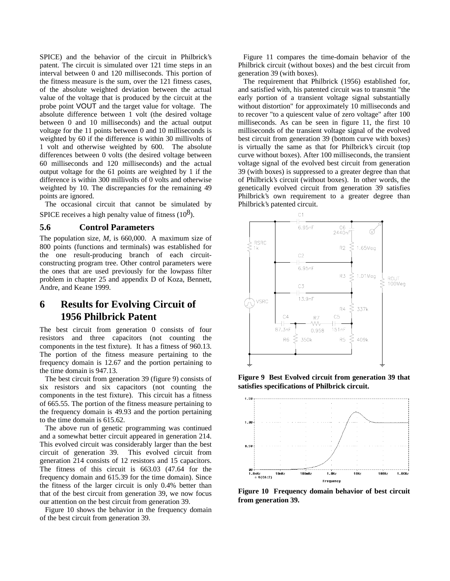SPICE) and the behavior of the circuit in Philbrick's patent. The circuit is simulated over 121 time steps in an interval between 0 and 120 milliseconds. This portion of the fitness measure is the sum, over the 121 fitness cases, of the absolute weighted deviation between the actual value of the voltage that is produced by the circuit at the probe point VOUT and the target value for voltage. The absolute difference between 1 volt (the desired voltage between 0 and 10 milliseconds) and the actual output voltage for the 11 points between 0 and 10 milliseconds is weighted by 60 if the difference is within 30 millivolts of 1 volt and otherwise weighted by 600. The absolute differences between 0 volts (the desired voltage between 60 milliseconds and 120 milliseconds) and the actual output voltage for the 61 points are weighted by 1 if the difference is within 300 millivolts of 0 volts and otherwise weighted by 10. The discrepancies for the remaining 49 points are ignored.

The occasional circuit that cannot be simulated by SPICE receives a high penalty value of fitness  $(10^8)$ .

#### **5.6 Control Parameters**

The population size, *M*, is 660,000. A maximum size of 800 points (functions and terminals) was established for the one result-producing branch of each circuitconstructing program tree. Other control parameters were the ones that are used previously for the lowpass filter problem in chapter 25 and appendix D of Koza, Bennett, Andre, and Keane 1999.

## **6 Results for Evolving Circuit of 1956 Philbrick Patent**

The best circuit from generation 0 consists of four resistors and three capacitors (not counting the components in the test fixture). It has a fitness of 960.13. The portion of the fitness measure pertaining to the frequency domain is 12.67 and the portion pertaining to the time domain is 947.13.

The best circuit from generation 39 (figure 9) consists of six resistors and six capacitors (not counting the components in the test fixture). This circuit has a fitness of 665.55. The portion of the fitness measure pertaining to the frequency domain is 49.93 and the portion pertaining to the time domain is 615.62.

The above run of genetic programming was continued and a somewhat better circuit appeared in generation 214. This evolved circuit was considerably larger than the best circuit of generation 39. This evolved circuit from generation 214 consists of 12 resistors and 15 capacitors. The fitness of this circuit is 663.03 (47.64 for the frequency domain and 615.39 for the time domain). Since the fitness of the larger circuit is only 0.4% better than that of the best circuit from generation 39, we now focus our attention on the best circuit from generation 39.

Figure 10 shows the behavior in the frequency domain of the best circuit from generation 39.

Figure 11 compares the time-domain behavior of the Philbrick circuit (without boxes) and the best circuit from generation 39 (with boxes).

The requirement that Philbrick (1956) established for, and satisfied with, his patented circuit was to transmit "the early portion of a transient voltage signal substantially without distortion" for approximately 10 milliseconds and to recover "to a quiescent value of zero voltage" after 100 milliseconds. As can be seen in figure 11, the first 10 milliseconds of the transient voltage signal of the evolved best circuit from generation 39 (bottom curve with boxes) is virtually the same as that for Philbrick's circuit (top curve without boxes). After 100 milliseconds, the transient voltage signal of the evolved best circuit from generation 39 (with boxes) is suppressed to a greater degree than that of Philbrick's circuit (without boxes). In other words, the genetically evolved circuit from generation 39 satisfies Philbrick's own requirement to a greater degree than Philbrick's patented circuit.

![](_page_6_Figure_11.jpeg)

**Figure 9 Best Evolved circuit from generation 39 that satisfies specifications of Philbrick circuit.**

![](_page_6_Figure_13.jpeg)

**Figure 10 Frequency domain behavior of best circuit from generation 39.**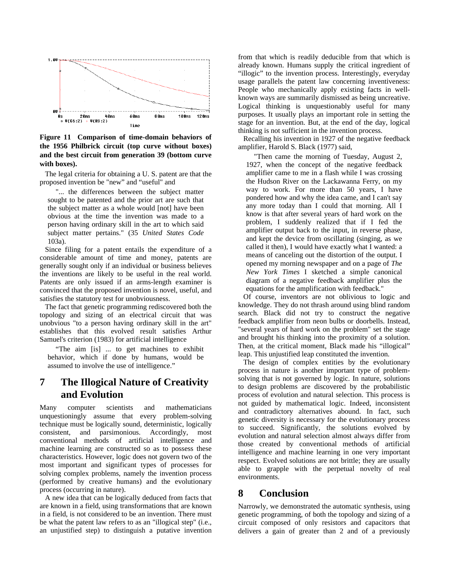![](_page_7_Figure_0.jpeg)

**Figure 11 Comparison of time-domain behaviors of the 1956 Philbrick circuit (top curve without boxes) and the best circuit from generation 39 (bottom curve with boxes).**

The legal criteria for obtaining a U. S. patent are that the proposed invention be "new" and "useful" and

"... the differences between the subject matter sought to be patented and the prior art are such that the subject matter as a whole would [not] have been obvious at the time the invention was made to a person having ordinary skill in the art to which said subject matter pertains." (35 *United States Code* 103a).

Since filing for a patent entails the expenditure of a considerable amount of time and money, patents are generally sought only if an individual or business believes the inventions are likely to be useful in the real world. Patents are only issued if an arms-length examiner is convinced that the proposed invention is novel, useful, and satisfies the statutory test for unobviousness.

The fact that genetic programming rediscovered both the topology and sizing of an electrical circuit that was unobvious "to a person having ordinary skill in the art" establishes that this evolved result satisfies Arthur Samuel's criterion (1983) for artificial intelligence

"The aim [is] ... to get machines to exhibit behavior, which if done by humans, would be assumed to involve the use of intelligence."

## **7 The Illogical Nature of Creativity and Evolution**

Many computer scientists and mathematicians unquestioningly assume that every problem-solving technique must be logically sound, deterministic, logically consistent, and parsimonious. Accordingly, most conventional methods of artificial intelligence and machine learning are constructed so as to possess these characteristics. However, logic does not govern two of the most important and significant types of processes for solving complex problems, namely the invention process (performed by creative humans) and the evolutionary process (occurring in nature).

A new idea that can be logically deduced from facts that are known in a field, using transformations that are known in a field, is not considered to be an invention. There must be what the patent law refers to as an "illogical step" (i.e., an unjustified step) to distinguish a putative invention from that which is readily deducible from that which is already known. Humans supply the critical ingredient of "illogic" to the invention process. Interestingly, everyday usage parallels the patent law concerning inventiveness: People who mechanically apply existing facts in wellknown ways are summarily dismissed as being uncreative. Logical thinking is unquestionably useful for many purposes. It usually plays an important role in setting the stage for an invention. But, at the end of the day, logical thinking is not sufficient in the invention process.

Recalling his invention in 1927 of the negative feedback amplifier, Harold S. Black (1977) said,

"Then came the morning of Tuesday, August 2, 1927, when the concept of the negative feedback amplifier came to me in a flash while I was crossing the Hudson River on the Lackawanna Ferry, on my way to work. For more than 50 years, I have pondered how and why the idea came, and I can't say any more today than I could that morning. All I know is that after several years of hard work on the problem, I suddenly realized that if I fed the amplifier output back to the input, in reverse phase, and kept the device from oscillating (singing, as we called it then), I would have exactly what I wanted: a means of canceling out the distortion of the output. I opened my morning newspaper and on a page of *The New York Times* I sketched a simple canonical diagram of a negative feedback amplifier plus the equations for the amplification with feedback."

Of course, inventors are not oblivious to logic and knowledge. They do not thrash around using blind random search. Black did not try to construct the negative feedback amplifier from neon bulbs or doorbells. Instead, "several years of hard work on the problem" set the stage and brought his thinking into the proximity of a solution. Then, at the critical moment, Black made his "illogical" leap. This unjustified leap constituted the invention.

The design of complex entities by the evolutionary process in nature is another important type of problemsolving that is not governed by logic. In nature, solutions to design problems are discovered by the probabilistic process of evolution and natural selection. This process is not guided by mathematical logic. Indeed, inconsistent and contradictory alternatives abound. In fact, such genetic diversity is necessary for the evolutionary process to succeed. Significantly, the solutions evolved by evolution and natural selection almost always differ from those created by conventional methods of artificial intelligence and machine learning in one very important respect. Evolved solutions are not brittle; they are usually able to grapple with the perpetual novelty of real environments.

## **8 Conclusion**

Narrowly, we demonstrated the automatic synthesis, using genetic programming, of both the topology and sizing of a circuit composed of only resistors and capacitors that delivers a gain of greater than 2 and of a previously